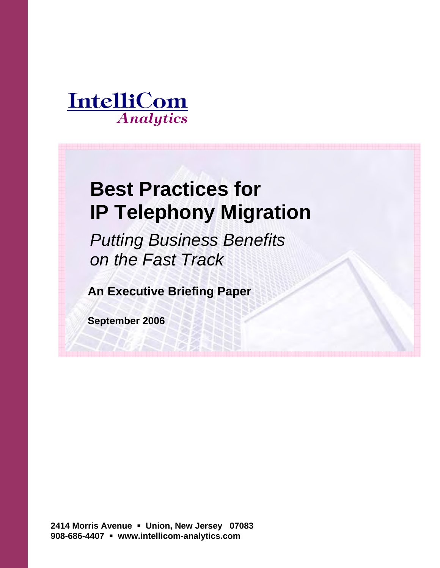

# **Best Practices for IP Telephony Migration**

*Putting Business Benefits on the Fast Track*

**An Executive Briefing Paper** 

**September 2006** 

**2414 Morris Avenue Union, New Jersey 07083 908-686-4407 www.intellicom-analytics.com**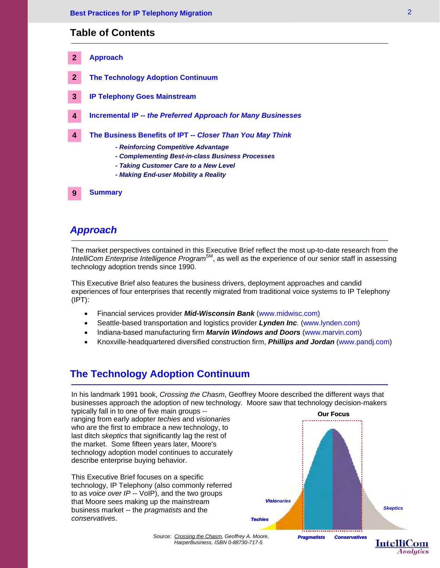# **Table of Contents**

| $\mathbf{2}$   | <b>Approach</b>                                                                                  |
|----------------|--------------------------------------------------------------------------------------------------|
| $\overline{2}$ | <b>The Technology Adoption Continuum</b>                                                         |
| 3              | <b>IP Telephony Goes Mainstream</b>                                                              |
| 4              | Incremental IP -- the Preferred Approach for Many Businesses                                     |
| 4              | The Business Benefits of IPT -- Closer Than You May Think<br>- Reinforcing Competitive Advantage |
|                | - Complementing Best-in-class Business Processes                                                 |
|                | - Taking Customer Care to a New Level<br>- Making End-user Mobility a Reality                    |
|                |                                                                                                  |

# *Approach*

**9**

**Summary**

The market perspectives contained in this Executive Brief reflect the most up-to-date research from the IntelliCom Enterprise Intelligence Program<sup>SM</sup>, as well as the experience of our senior staff in assessing technology adoption trends since 1990.

This Executive Brief also features the business drivers, deployment approaches and candid experiences of four enterprises that recently migrated from traditional voice systems to IP Telephony (IPT):

- Financial services provider *Mid-Wisconsin Bank* (www.midwisc.com)
- Seattle-based transportation and logistics provider *Lynden Inc.* (www.lynden.com)
- Indiana-based manufacturing firm *Marvin Windows and Doors* (www.marvin.com)
- Knoxville-headquartered diversified construction firm, *Phillips and Jordan* (www.pandj.com)

# **The Technology Adoption Continuum**

In his landmark 1991 book, *Crossing the Chasm*, Geoffrey Moore described the different ways that businesses approach the adoption of new technology. Moore saw that technology decision-makers

typically fall in to one of five main groups - ranging from early adopter *techies* and *visionaries*  who are the first to embrace a new technology, to last ditch *skeptics* that significantly lag the rest of the market. Some fifteen years later, Moore's technology adoption model continues to accurately describe enterprise buying behavior.

This Executive Brief focuses on a specific technology, IP Telephony (also commonly referred to as *voice over IP* -- VoIP), and the two groups that Moore sees making up the mainstream business market *--* the *pragmatists* and the *conservatives*.



**Analytics** 

Source: *Crossing the Chasm, Geoffrey A. Moore, HarperBusiness, ISBN 0-88730-717-5*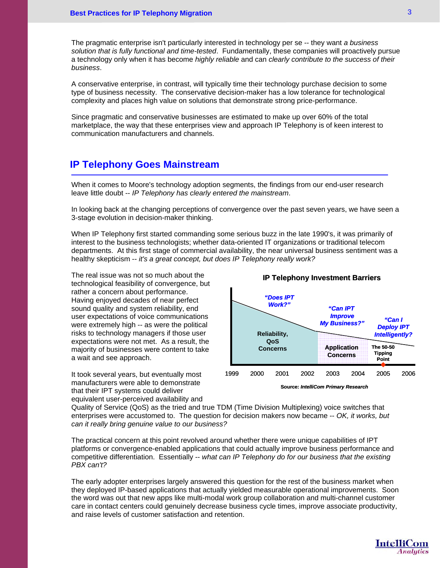The pragmatic enterprise isn't particularly interested in technology per se -- they want *a business solution that is fully functional and time-tested*. Fundamentally, these companies will proactively pursue a technology only when it has become *highly reliable* and can *clearly contribute to the success of their business*.

A conservative enterprise, in contrast, will typically time their technology purchase decision to some type of business necessity. The conservative decision-maker has a low tolerance for technological complexity and places high value on solutions that demonstrate strong price-performance.

Since pragmatic and conservative businesses are estimated to make up over 60% of the total marketplace, the way that these enterprises view and approach IP Telephony is of keen interest to communication manufacturers and channels.

# **IP Telephony Goes Mainstream**

When it comes to Moore's technology adoption segments, the findings from our end-user research leave little doubt -- *IP Telephony has clearly entered the mainstream*.

In looking back at the changing perceptions of convergence over the past seven years, we have seen a 3-stage evolution in decision-maker thinking.

When IP Telephony first started commanding some serious buzz in the late 1990's, it was primarily of interest to the business technologists; whether data-oriented IT organizations or traditional telecom departments. At this first stage of commercial availability, the near universal business sentiment was a healthy skepticism -- *it's a great concept, but does IP Telephony really work?*

The real issue was not so much about the technological feasibility of convergence, but rather a concern about performance. Having enjoyed decades of near perfect sound quality and system reliability, end user expectations of voice communications were extremely high -- as were the political risks to technology managers if those user expectations were not met. As a result, the majority of businesses were content to take a wait and see approach.

It took several years, but eventually most manufacturers were able to demonstrate that their IPT systems could deliver equivalent user-perceived availability and



**Source:** *IntelliCom Primary Research*

Quality of Service (QoS) as the tried and true TDM (Time Division Multiplexing) voice switches that enterprises were accustomed to. The question for decision makers now became -- *OK, it works, but can it really bring genuine value to our business?* 

The practical concern at this point revolved around whether there were unique capabilities of IPT platforms or convergence-enabled applications that could actually improve business performance and competitive differentiation. Essentially -- *what can IP Telephony do for our business that the existing PBX can't?*

The early adopter enterprises largely answered this question for the rest of the business market when they deployed IP-based applications that actually yielded measurable operational improvements. Soon the word was out that new apps like multi-modal work group collaboration and multi-channel customer care in contact centers could genuinely decrease business cycle times, improve associate productivity, and raise levels of customer satisfaction and retention.

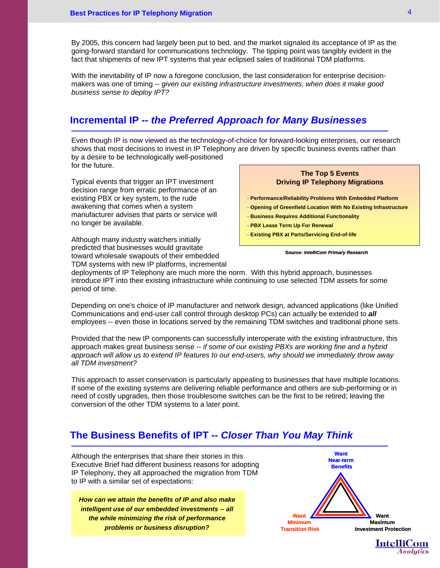By 2005, this concern had largely been put to bed, and the market signaled its acceptance of IP as the going-forward standard for communications technology. The tipping point was tangibly evident in the fact that shipments of new IPT systems that year eclipsed sales of traditional TDM platforms.

With the inevitability of IP now a foregone conclusion, the last consideration for enterprise decisionmakers was one of timing -- *given our existing infrastructure investments, when does it make good business sense to deploy IPT?* 

# **Incremental IP** *-- the Preferred Approach for Many Businesses*

Even though IP is now viewed as the technology-of-choice for forward-looking enterprises, our research shows that most decisions to invest in IP Telephony are driven by specific business events rather than by a desire to be technologically well-positioned for the future.

Typical events that trigger an IPT investment decision range from erratic performance of an existing PBX or key system, to the rude awakening that comes when a system manufacturer advises that parts or service will no longer be available.

Although many industry watchers initially predicted that businesses would gravitate toward wholesale swapouts of their embedded TDM systems with new IP platforms, incremental

# **The Top 5 Events Driving IP Telephony Migrations**

- **Performance/Reliability Problems With Embedded Platform**

- **Opening of Greenfield Location With No Existing Infrastructure**
- **Business Requires Additional Functionality**
- **PBX Lease Term Up For Renewal**
- **Existing PBX at Parts/Servicing End-of-life**

#### **Source:** *IntelliCom Primary Research*

deployments of IP Telephony are much more the norm. With this hybrid approach, businesses introduce IPT into their existing infrastructure while continuing to use selected TDM assets for some period of time.

Depending on one's choice of IP manufacturer and network design, advanced applications (like Unified Communications and end-user call control through desktop PCs) can actually be extended to *all*  employees -- even those in locations served by the remaining TDM switches and traditional phone sets.

Provided that the new IP components can successfully interoperate with the existing infrastructure, this approach makes great business sense -- *if some of our existing PBXs are working fine and a hybrid approach will allow us to extend IP features to our end-users, why should we immediately throw away all TDM investment?* 

This approach to asset conservation is particularly appealing to businesses that have multiple locations. If some of the existing systems are delivering reliable performance and others are sub-performing or in need of costly upgrades, then those troublesome switches can be the first to be retired; leaving the conversion of the other TDM systems to a later point.

# **The Business Benefits of IPT** *-- Closer Than You May Think*

Although the enterprises that share their stories in this Executive Brief had different business reasons for adopting IP Telephony, they all approached the migration from TDM to IP with a similar set of expectations:

*How can we attain the benefits of IP and also make intelligent use of our embedded investments -- all the while minimizing the risk of performance problems or business disruption?* 





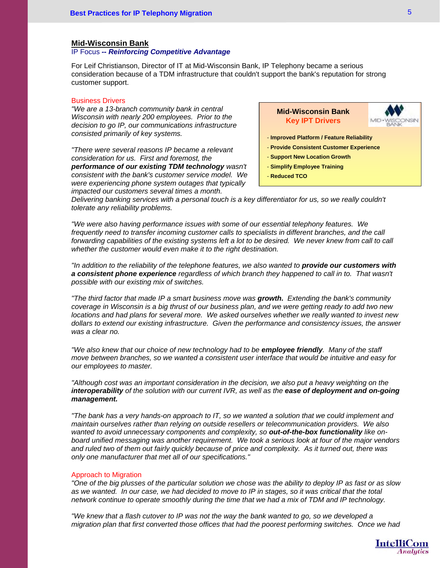#### **Mid-Wisconsin Bank**

# IP Focus *-- Reinforcing Competitive Advantage*

For Leif Christianson, Director of IT at Mid-Wisconsin Bank, IP Telephony became a serious consideration because of a TDM infrastructure that couldn't support the bank's reputation for strong customer support.

#### Business Drivers

*"We are a 13-branch community bank in central Wisconsin with nearly 200 employees. Prior to the decision to go IP, our communications infrastructure consisted primarily of key systems.* 

*"There were several reasons IP became a relevant consideration for us. First and foremost, the performance of our existing TDM technology wasn't consistent with the bank's customer service model. We were experiencing phone system outages that typically impacted our customers several times a month.* 

**Mid-Wisconsin Bank Key IPT Drivers**



- **Improved Platform / Feature Reliability**
- **Provide Consistent Customer Experience**
- **Support New Location Growth**
- **Simplify Employee Training**
- **Reduced TCO**

*Delivering banking services with a personal touch is a key differentiator for us, so we really couldn't tolerate any reliability problems.* 

*"We were also having performance issues with some of our essential telephony features. We*  frequently need to transfer incoming customer calls to specialists in different branches, and the call forwarding capabilities of the existing systems left a lot to be desired. We never knew from call to call *whether the customer would even make it to the right destination.* 

*"In addition to the reliability of the telephone features, we also wanted to provide our customers with a consistent phone experience regardless of which branch they happened to call in to. That wasn't possible with our existing mix of switches.* 

*"The third factor that made IP a smart business move was growth. Extending the bank's community coverage in Wisconsin is a big thrust of our business plan, and we were getting ready to add two new locations and had plans for several more.* We asked ourselves whether we really wanted to invest new *dollars to extend our existing infrastructure. Given the performance and consistency issues, the answer was a clear no.* 

*"We also knew that our choice of new technology had to be employee friendly. Many of the staff move between branches, so we wanted a consistent user interface that would be intuitive and easy for our employees to master.* 

*"Although cost was an important consideration in the decision, we also put a heavy weighting on the interoperability of the solution with our current IVR, as well as the ease of deployment and on-going management.*

*"The bank has a very hands-on approach to IT, so we wanted a solution that we could implement and maintain ourselves rather than relying on outside resellers or telecommunication providers. We also*  wanted to avoid unnecessary components and complexity, so **out-of-the-box functionality** like on*board unified messaging was another requirement. We took a serious look at four of the major vendors and ruled two of them out fairly quickly because of price and complexity. As it turned out, there was only one manufacturer that met all of our specifications."* 

#### Approach to Migration

*"One of the big plusses of the particular solution we chose was the ability to deploy IP as fast or as slow as we wanted. In our case, we had decided to move to IP in stages, so it was critical that the total network continue to operate smoothly during the time that we had a mix of TDM and IP technology.* 

*"We knew that a flash cutover to IP was not the way the bank wanted to go, so we developed a migration plan that first converted those offices that had the poorest performing switches. Once we had*

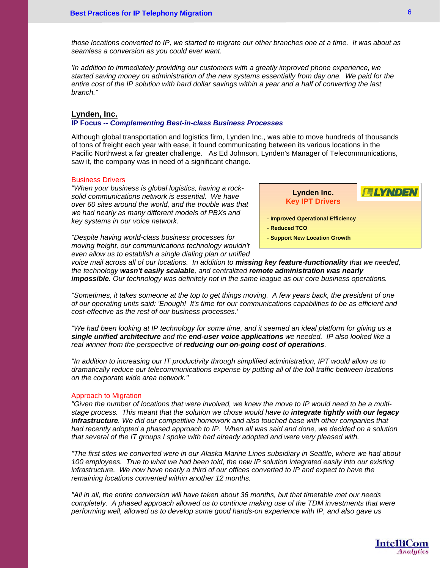*those locations converted to IP, we started to migrate our other branches one at a time. It was about as seamless a conversion as you could ever want.* 

*'In addition to immediately providing our customers with a greatly improved phone experience, we started saving money on administration of the new systems essentially from day one. We paid for the entire cost of the IP solution with hard dollar savings within a year and a half of converting the last branch."* 

# **Lynden, Inc.**

## **IP Focus --** *Complementing Best-in-class Business Processes*

Although global transportation and logistics firm, Lynden Inc., was able to move hundreds of thousands of tons of freight each year with ease, it found communicating between its various locations in the Pacific Northwest a far greater challenge. As Ed Johnson, Lynden's Manager of Telecommunications, saw it, the company was in need of a significant change.

#### Business Drivers

*"When your business is global logistics, having a rocksolid communications network is essential. We have over 60 sites around the world, and the trouble was that we had nearly as many different models of PBXs and key systems in our voice network.* 

**FLYNDEI Lynden Inc. Key IPT Drivers**

- **Improved Operational Efficiency**

- **Reduced TCO**

- **Support New Location Growth**

*"Despite having world-class business processes for moving freight, our communications technology wouldn't even allow us to establish a single dialing plan or unified* 

*voice mail across all of our locations. In addition to missing key feature-functionality that we needed, the technology wasn't easily scalable, and centralized remote administration was nearly impossible. Our technology was definitely not in the same league as our core business operations.* 

*"Sometimes, it takes someone at the top to get things moving. A few years back, the president of one of our operating units said: 'Enough! It's time for our communications capabilities to be as efficient and cost-effective as the rest of our business processes.'* 

*"We had been looking at IP technology for some time, and it seemed an ideal platform for giving us a single unified architecture and the end-user voice applications we needed. IP also looked like a real winner from the perspective of reducing our on-going cost of operations.* 

*"In addition to increasing our IT productivity through simplified administration, IPT would allow us to dramatically reduce our telecommunications expense by putting all of the toll traffic between locations on the corporate wide area network."* 

#### Approach to Migration

*"Given the number of locations that were involved, we knew the move to IP would need to be a multistage process. This meant that the solution we chose would have to integrate tightly with our legacy infrastructure. We did our competitive homework and also touched base with other companies that had recently adopted a phased approach to IP. When all was said and done, we decided on a solution that several of the IT groups I spoke with had already adopted and were very pleased with.* 

*"The first sites we converted were in our Alaska Marine Lines subsidiary in Seattle, where we had about 100 employees. True to what we had been told, the new IP solution integrated easily into our existing infrastructure. We now have nearly a third of our offices converted to IP and expect to have the remaining locations converted within another 12 months.* 

*"All in all, the entire conversion will have taken about 36 months, but that timetable met our needs completely. A phased approach allowed us to continue making use of the TDM investments that were performing well, allowed us to develop some good hands-on experience with IP, and also gave us* 

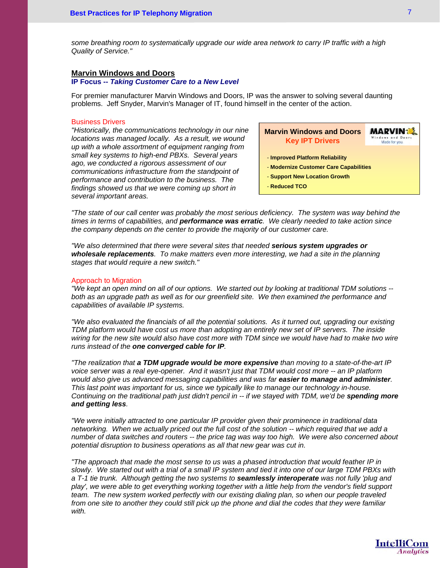*some breathing room to systematically upgrade our wide area network to carry IP traffic with a high Quality of Service."* 

## **Marvin Windows and Doors**

#### **IP Focus --** *Taking Customer Care to a New Level*

For premier manufacturer Marvin Windows and Doors, IP was the answer to solving several daunting problems. Jeff Snyder, Marvin's Manager of IT, found himself in the center of the action.

#### Business Drivers

*"Historically, the communications technology in our nine locations was managed locally. As a result, we wound up with a whole assortment of equipment ranging from small key systems to high-end PBXs. Several years ago, we conducted a rigorous assessment of our communications infrastructure from the standpoint of performance and contribution to the business. The findings showed us that we were coming up short in several important areas.* 

**Marvin Windows and Doors MARVIN** Windows and Door **Key IPT Drivers** Made for you. - **Improved Platform Reliability** - **Modernize Customer Care Capabilities** - **Support New Location Growth** - **Reduced TCO**

*"The state of our call center was probably the most serious deficiency. The system was way behind the times in terms of capabilities, and performance was erratic. We clearly needed to take action since the company depends on the center to provide the majority of our customer care.* 

*"We also determined that there were several sites that needed serious system upgrades or wholesale replacements. To make matters even more interesting, we had a site in the planning stages that would require a new switch."* 

## Approach to Migration

*"We kept an open mind on all of our options. We started out by looking at traditional TDM solutions -*  both as an upgrade path as well as for our greenfield site. We then examined the performance and *capabilities of available IP systems.* 

*"We also evaluated the financials of all the potential solutions. As it turned out, upgrading our existing TDM platform would have cost us more than adopting an entirely new set of IP servers. The inside*  wiring for the new site would also have cost more with TDM since we would have had to make two wire *runs instead of the one converged cable for IP.* 

*"The realization that a TDM upgrade would be more expensive than moving to a state-of-the-art IP voice server was a real eye-opener. And it wasn't just that TDM would cost more -- an IP platform would also give us advanced messaging capabilities and was far easier to manage and administer. This last point was important for us, since we typically like to manage our technology in-house. Continuing on the traditional path just didn't pencil in -- if we stayed with TDM, we'd be spending more and getting less.* 

*"We were initially attracted to one particular IP provider given their prominence in traditional data networking. When we actually priced out the full cost of the solution -- which required that we add a number of data switches and routers -- the price tag was way too high. We were also concerned about potential disruption to business operations as all that new gear was cut in.* 

*"The approach that made the most sense to us was a phased introduction that would feather IP in slowly. We started out with a trial of a small IP system and tied it into one of our large TDM PBXs with a T-1 tie trunk. Although getting the two systems to seamlessly interoperate was not fully 'plug and play', we were able to get everything working together with a little help from the vendor's field support team. The new system worked perfectly with our existing dialing plan, so when our people traveled from one site to another they could still pick up the phone and dial the codes that they were familiar with.* 

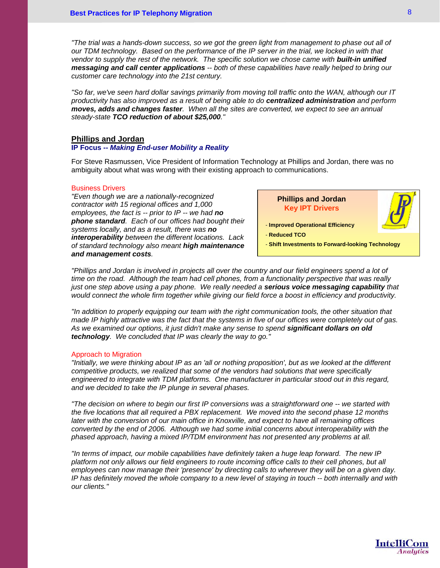*"The trial was a hands-down success, so we got the green light from management to phase out all of our TDM technology. Based on the performance of the IP server in the trial, we locked in with that vendor to supply the rest of the network. The specific solution we chose came with built-in unified messaging and call center applications -- both of these capabilities have really helped to bring our customer care technology into the 21st century.* 

*"So far, we've seen hard dollar savings primarily from moving toll traffic onto the WAN, although our IT productivity has also improved as a result of being able to do centralized administration and perform moves, adds and changes faster. When all the sites are converted, we expect to see an annual steady-state TCO reduction of about \$25,000."* 

## **Phillips and Jordan**

## **IP Focus --** *Making End-user Mobility a Reality*

For Steve Rasmussen, Vice President of Information Technology at Phillips and Jordan, there was no ambiguity about what was wrong with their existing approach to communications.

#### Business Drivers

*"Even though we are a nationally-recognized contractor with 15 regional offices and 1,000 employees, the fact is -- prior to IP -- we had no phone standard. Each of our offices had bought their systems locally, and as a result, there was no interoperability between the different locations. Lack of standard technology also meant high maintenance and management costs.* 

**Phillips and Jordan Key IPT Drivers**

- **Improved Operational Efficiency** 

- **Reduced TCO**

- **Shift Investments to Forward-looking Technology**

*"Phillips and Jordan is involved in projects all over the country and our field engineers spend a lot of time on the road. Although the team had cell phones, from a functionality perspective that was really just one step above using a pay phone. We really needed a serious voice messaging capability that would connect the whole firm together while giving our field force a boost in efficiency and productivity.* 

*"In addition to properly equipping our team with the right communication tools, the other situation that made IP highly attractive was the fact that the systems in five of our offices were completely out of gas. As we examined our options, it just didn't make any sense to spend significant dollars on old technology. We concluded that IP was clearly the way to go."* 

#### Approach to Migration

*"Initially, we were thinking about IP as an 'all or nothing proposition', but as we looked at the different competitive products, we realized that some of the vendors had solutions that were specifically engineered to integrate with TDM platforms. One manufacturer in particular stood out in this regard, and we decided to take the IP plunge in several phases.* 

*"The decision on where to begin our first IP conversions was a straightforward one -- we started with the five locations that all required a PBX replacement. We moved into the second phase 12 months later with the conversion of our main office in Knoxville, and expect to have all remaining offices converted by the end of 2006. Although we had some initial concerns about interoperability with the phased approach, having a mixed IP/TDM environment has not presented any problems at all.* 

*"In terms of impact, our mobile capabilities have definitely taken a huge leap forward. The new IP*  platform not only allows our field engineers to route incoming office calls to their cell phones, but all *employees can now manage their 'presence' by directing calls to wherever they will be on a given day. IP has definitely moved the whole company to a new level of staying in touch -- both internally and with our clients."*